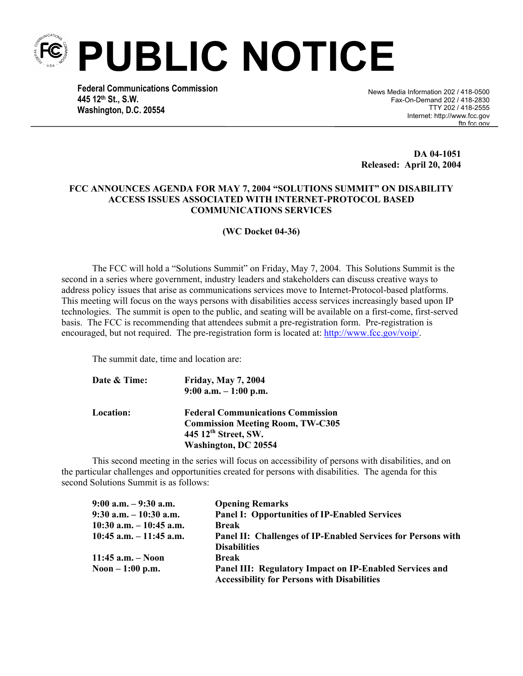**PUBLIC NOTICE** 

**Federal Communications Commission 445 12th St., S.W. Washington, D.C. 20554**

 News Media Information 202 / 418-0500 Fax-On-Demand 202 / 418-2830 TTY 202 / 418-2555 Internet: http://www.fcc.gov ftn fcc gov

**DA 04-1051 Released: April 20, 2004**

#### **FCC ANNOUNCES AGENDA FOR MAY 7, 2004 "SOLUTIONS SUMMIT" ON DISABILITY ACCESS ISSUES ASSOCIATED WITH INTERNET-PROTOCOL BASED COMMUNICATIONS SERVICES**

**(WC Docket 04-36)** 

The FCC will hold a "Solutions Summit" on Friday, May 7, 2004. This Solutions Summit is the second in a series where government, industry leaders and stakeholders can discuss creative ways to address policy issues that arise as communications services move to Internet-Protocol-based platforms. This meeting will focus on the ways persons with disabilities access services increasingly based upon IP technologies. The summit is open to the public, and seating will be available on a first-come, first-served basis. The FCC is recommending that attendees submit a pre-registration form. Pre-registration is encouraged, but not required. The pre-registration form is located at: http://www.fcc.gov/voip/.

The summit date, time and location are:

| Date & Time:     | <b>Friday, May 7, 2004</b>               |
|------------------|------------------------------------------|
|                  | $9:00$ a.m. $-1:00$ p.m.                 |
| <b>Location:</b> | <b>Federal Communications Commission</b> |
|                  | <b>Commission Meeting Room, TW-C305</b>  |
|                  | 445 12 <sup>th</sup> Street, SW.         |
|                  | <b>Washington, DC 20554</b>              |

This second meeting in the series will focus on accessibility of persons with disabilities, and on the particular challenges and opportunities created for persons with disabilities. The agenda for this second Solutions Summit is as follows:

| $9:00$ a.m. $-9:30$ a.m.   | <b>Opening Remarks</b>                                                                                        |
|----------------------------|---------------------------------------------------------------------------------------------------------------|
| $9:30$ a.m. $-10:30$ a.m.  | <b>Panel I: Opportunities of IP-Enabled Services</b>                                                          |
| $10:30$ a.m. $-10:45$ a.m. | <b>Break</b>                                                                                                  |
| $10:45$ a.m. $-11:45$ a.m. | Panel II: Challenges of IP-Enabled Services for Persons with                                                  |
|                            | <b>Disabilities</b>                                                                                           |
| 11:45 $a.m. - Noon$        | Break                                                                                                         |
| Noon $-1:00$ p.m.          | Panel III: Regulatory Impact on IP-Enabled Services and<br><b>Accessibility for Persons with Disabilities</b> |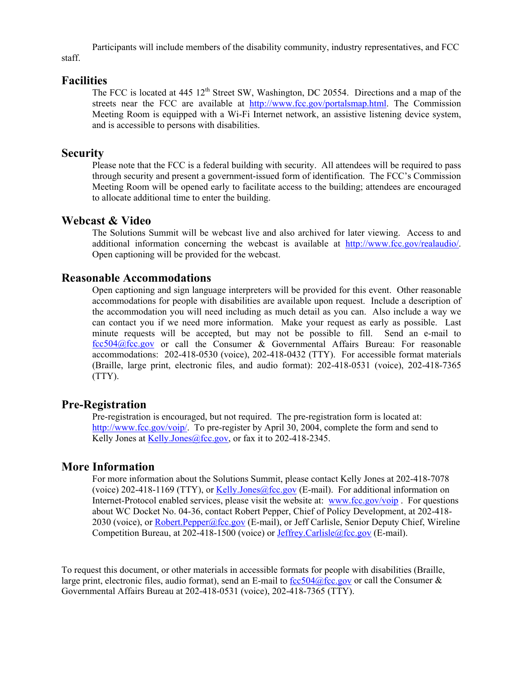Participants will include members of the disability community, industry representatives, and FCC staff.

#### **Facilities**

The FCC is located at 445 12<sup>th</sup> Street SW, Washington, DC 20554. Directions and a map of the streets near the FCC are available at http://www.fcc.gov/portalsmap.html. The Commission Meeting Room is equipped with a Wi-Fi Internet network, an assistive listening device system, and is accessible to persons with disabilities.

## **Security**

Please note that the FCC is a federal building with security. All attendees will be required to pass through security and present a government-issued form of identification. The FCC's Commission Meeting Room will be opened early to facilitate access to the building; attendees are encouraged to allocate additional time to enter the building.

## **Webcast & Video**

The Solutions Summit will be webcast live and also archived for later viewing. Access to and additional information concerning the webcast is available at http://www.fcc.gov/realaudio/. Open captioning will be provided for the webcast.

## **Reasonable Accommodations**

Open captioning and sign language interpreters will be provided for this event. Other reasonable accommodations for people with disabilities are available upon request. Include a description of the accommodation you will need including as much detail as you can. Also include a way we can contact you if we need more information. Make your request as early as possible. Last minute requests will be accepted, but may not be possible to fill. Send an e-mail to fcc504@fcc.gov or call the Consumer & Governmental Affairs Bureau: For reasonable accommodations: 202-418-0530 (voice), 202-418-0432 (TTY). For accessible format materials (Braille, large print, electronic files, and audio format): 202-418-0531 (voice), 202-418-7365 (TTY).

## **Pre-Registration**

Pre-registration is encouraged, but not required. The pre-registration form is located at: http://www.fcc.gov/voip/. To pre-register by April 30, 2004, complete the form and send to Kelly Jones at Kelly.Jones@fcc.gov, or fax it to 202-418-2345.

# **More Information**

For more information about the Solutions Summit, please contact Kelly Jones at 202-418-7078 (voice) 202-418-1169 (TTY), or Kelly.Jones@fcc.gov (E-mail). For additional information on Internet-Protocol enabled services, please visit the website at: www.fcc.gov/voip . For questions about WC Docket No. 04-36, contact Robert Pepper, Chief of Policy Development, at 202-418- 2030 (voice), or Robert.Pepper@fcc.gov (E-mail), or Jeff Carlisle, Senior Deputy Chief, Wireline Competition Bureau, at 202-418-1500 (voice) or Jeffrey.Carlisle@fcc.gov (E-mail).

To request this document, or other materials in accessible formats for people with disabilities (Braille, large print, electronic files, audio format), send an E-mail to fcc504@fcc.gov or call the Consumer  $\&$ Governmental Affairs Bureau at 202-418-0531 (voice), 202-418-7365 (TTY).